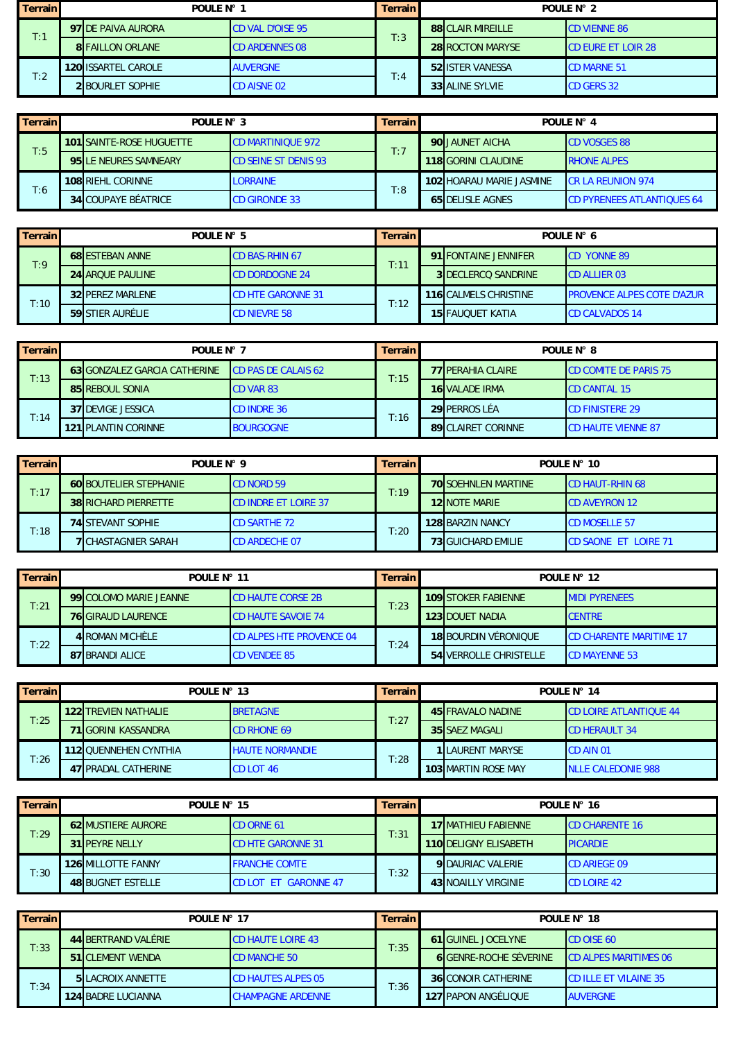| <b>Terrain</b> | POULE N° 1                 |                         | Terrain I | POULE N° 2               |                            |  |
|----------------|----------------------------|-------------------------|-----------|--------------------------|----------------------------|--|
| T:1            | 97 DE PAIVA AURORA         | <b>CD VAL D'OISE 95</b> | T:3       | <b>88 CLAIR MIREILLE</b> | <b>CD VIENNE 86</b>        |  |
|                | <b>8 FAILLON ORLANE</b>    | <b>CD ARDENNES 08</b>   |           | <b>28 ROCTON MARYSE</b>  | <b>ICD EURE ET LOIR 28</b> |  |
| T:2            | <b>120 ISSARTEL CAROLE</b> | <b>AUVERGNE</b>         | T:4       | 52 ISTER VANESSA         | <b>CD MARNE 51</b>         |  |
|                | <b>2 BOURLET SOPHIE</b>    | <b>CD AISNE 02</b>      |           | <b>33 ALINE SYLVIE</b>   | <b>CD GERS 32</b>          |  |

| Terrain | POULE N° 3                   |                              |     | POULF $N^{\circ}$ 4 |                            |                                   |  |
|---------|------------------------------|------------------------------|-----|---------------------|----------------------------|-----------------------------------|--|
| T:5     | 101 SAINTE-ROSE HUGUETTE     | <b>ICD MARTINIQUE 972</b>    | T:7 |                     | 90 JAUNET AICHA            | <b>CD VOSGES 88</b>               |  |
|         | <b>95 LE NEURES SAMNEARY</b> | <b>ICD SEINE ST DENIS 93</b> |     |                     | <b>118 GORINI CLAUDINE</b> | <b>RHONE ALPES</b>                |  |
|         | 108 RIEHL CORINNE            | <b>LORRAINE</b>              | T:8 |                     | 102 HOARAU MARIE JASMINE   | <b>ICR LA REUNION 974</b>         |  |
| T:6     | <b>34 COUPAYE BÉATRICE</b>   | <b>CD GIRONDE 33</b>         |     |                     | <b>65 DELISLE AGNES</b>    | <b>CD PYRENEES ATLANTIQUES 64</b> |  |

| Terrain | POULE N° 5              |                               | Terrain              | POULE $N^{\circ}$ 6          |                                   |  |
|---------|-------------------------|-------------------------------|----------------------|------------------------------|-----------------------------------|--|
|         | <b>68 ESTEBAN ANNE</b>  | <b>CD BAS-RHIN 67</b><br>T:11 | 91 FONTAINE JENNIFER | <b>CD YONNE 89</b>           |                                   |  |
| T:9     | <b>24 AROUE PAULINE</b> | <b>CD DORDOGNE 24</b>         |                      | <b>3IDECLERCO SANDRINE</b>   | <b>ICD ALLIER 03</b>              |  |
|         | <b>32 PEREZ MARLENE</b> | <b>CD HTE GARONNE 31</b>      |                      | <b>116 CALMELS CHRISTINE</b> | <b>PROVENCE ALPES COTE D'AZUR</b> |  |
| T:10    | 59 STIER AURÉLIE        | <b>CD NIEVRE 58</b>           | T:12                 | 15 FAUOUET KATIA             | <b>CD CALVADOS 14</b>             |  |

| <b>Terrain</b> | POULF $N^{\circ}$ 7                 |                            | Terrain I | POULE N° 8 |                           |                              |
|----------------|-------------------------------------|----------------------------|-----------|------------|---------------------------|------------------------------|
|                | <b>63 GONZALEZ GARCIA CATHERINE</b> | <b>CD PAS DE CALAIS 62</b> | T:15      |            | <b>77 IPERAHIA CLAIRE</b> | <b>CD COMITE DE PARIS 75</b> |
| T:13           | 85 REBOUL SONIA                     | <b>CD VAR 83</b>           |           |            | <b>16 VALADE IRMA</b>     | <b>CD CANTAL 15</b>          |
|                | 37 DEVIGE JESSICA                   | <b>CD INDRE 36</b>         |           |            | <b>29 PERROS LÉA</b>      | <b>CD FINISTERE 29</b>       |
| T:14           | 121 PLANTIN CORINNE                 | <b>BOURGOGNE</b>           | T:16      |            | <b>89ICLAIRET CORINNE</b> | <b>CD HAUTE VIENNE 87</b>    |

| Terrain | POULE N° 9                    |                             | Terrain                    | POULE N° 10               |                             |  |  |
|---------|-------------------------------|-----------------------------|----------------------------|---------------------------|-----------------------------|--|--|
| T:17    | <b>60 BOUTELIER STEPHANIE</b> | <b>CD NORD 59</b><br>T:19   | <b>70 SOEHNLEN MARTINE</b> | <b>ICD HAUT-RHIN 68</b>   |                             |  |  |
|         | <b>38 RICHARD PIERRETTE</b>   | <b>CD INDRE ET LOIRE 37</b> |                            | <b>12 NOTE MARIE</b>      | <b>CD AVEYRON 12</b>        |  |  |
|         | <b>74 STEVANT SOPHIE</b>      | <b>CD SARTHE 72</b>         | T:20                       | <b>128 BARZIN NANCY</b>   | <b>CD MOSELLE 57</b>        |  |  |
| T:18    | <b>7 CHASTAGNIER SARAH</b>    | <b>CD ARDECHE 07</b>        |                            | <b>73 GUICHARD EMILIE</b> | <b>CD SAONE ET LOIRE 71</b> |  |  |

| Terrainl | POULE N° 11               |  | Terrain I                       | POULE N° 12 |  |                             |                                |
|----------|---------------------------|--|---------------------------------|-------------|--|-----------------------------|--------------------------------|
|          | 99 COLOMO MARIE JEANNE    |  | <b>CD HAUTE CORSE 2B</b>        | T:23        |  | <b>109 STOKER FABIENNE</b>  | <b>IMIDI PYRENEES</b>          |
| T:21     | <b>76 GIRAUD LAURENCE</b> |  | <b>CD HAUTE SAVOIE 74</b>       |             |  | <b>123IDOUET NADIA</b>      | <b>CENTRE</b>                  |
|          | <b>4 ROMAN MICHÈLE</b>    |  | <b>CD ALPES HTE PROVENCE 04</b> | T:24        |  | <b>18 BOURDIN VÉRONIQUE</b> | <b>CD CHARENTE MARITIME 17</b> |
| T:22     | 87 BRANDI ALICE           |  | <b>CD VENDEE 85</b>             |             |  | 54 VERROLLE CHRISTELLE      | <b>CD MAYENNE 53</b>           |

| Terrain | POULE N° 13                  |                        | <b>Terrain</b> | POULE N° 14 |                            |                               |
|---------|------------------------------|------------------------|----------------|-------------|----------------------------|-------------------------------|
| T:25    | <b>122 TREVIEN NATHALIE</b>  | <b>BRETAGNE</b>        | T:27           |             | 45 FRAVALO NADINE          | <b>CD LOIRE ATLANTIQUE 44</b> |
|         | <b>71 GORINI KASSANDRA</b>   | <b>CD RHONE 69</b>     |                |             | 35 SAEZ MAGALI             | <b>CD HERAULT 34</b>          |
|         | <b>112 OUENNEHEN CYNTHIA</b> | <b>HAUTE NORMANDIE</b> | T:28           |             | <b>1 LAURENT MARYSE</b>    | <b>CD AIN 01</b>              |
| T:26    | 47 <b>IPRADAL CATHERINE</b>  | <b>CD LOT 46</b>       |                |             | <b>103 MARTIN ROSE MAY</b> | <b>NLLE CALEDONIE 988</b>     |

| Terrain | POULE N° 15               |                             | Terrain I | POULE N° 16                  |                        |  |  |
|---------|---------------------------|-----------------------------|-----------|------------------------------|------------------------|--|--|
| T:29    | <b>62 MUSTIERE AURORE</b> | <b>CD ORNE 61</b>           | T:31      | 17 MATHIEU FABIENNE          | <b>ICD CHARENTE 16</b> |  |  |
|         | <b>31 PEYRE NELLY</b>     | <b>CD HTE GARONNE 31</b>    |           | <b>110 DELIGNY ELISABETH</b> | <b>PICARDIE</b>        |  |  |
|         | <b>126 MILLOTTE FANNY</b> | <b>FRANCHE COMTE</b>        | T:32      | <b>9 DAURIAC VALERIE</b>     | <b>CD ARIEGE 09</b>    |  |  |
| T:30    | 48 BUGNET ESTELLE         | <b>CD LOT ET GARONNE 47</b> |           | <b>43 NOAILLY VIRGINIE</b>   | <b>CD LOIRE 42</b>     |  |  |

| <b>Terrain</b> | POULE N° 17              |                          | Terrain I | POULE N° 18                   |                              |  |
|----------------|--------------------------|--------------------------|-----------|-------------------------------|------------------------------|--|
|                | 44 BERTRAND VALÉRIE      | <b>CD HAUTE LOIRE 43</b> | T:35      | <b>61 GUINEL JOCELYNE</b>     | <b>CD OISE 60</b>            |  |
| T:33           | <b>51 CLEMENT WENDA</b>  | <b>CD MANCHE 50</b>      |           | <b>6 GENRE-ROCHE SÉVERINE</b> | <b>CD ALPES MARITIMES 06</b> |  |
|                | <b>5 LACROIX ANNETTE</b> | CD HAUTES ALPES 05       | T:36      | <b>36 CONOIR CATHERINE</b>    | <b>CD ILLE ET VILAINE 35</b> |  |
| T:34           | 124 BADRE LUCIANNA       | <b>CHAMPAGNE ARDENNE</b> |           | 127 PAPON ANGÉLIQUE           | <b>AUVERGNE</b>              |  |